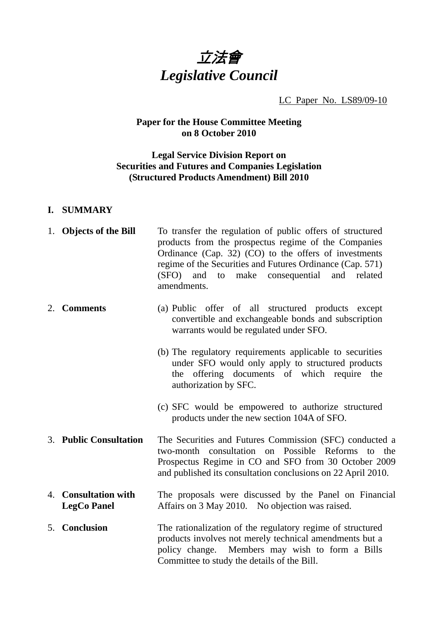

### LC Paper No. LS89/09-10

## **Paper for the House Committee Meeting on 8 October 2010**

## **Legal Service Division Report on Securities and Futures and Companies Legislation (Structured Products Amendment) Bill 2010**

### **I. SUMMARY**

|    | 1. Objects of the Bill                     | To transfer the regulation of public offers of structured<br>products from the prospectus regime of the Companies<br>Ordinance (Cap. 32) (CO) to the offers of investments<br>regime of the Securities and Futures Ordinance (Cap. 571)<br>to make consequential and related<br>(SFO) and<br>amendments. |
|----|--------------------------------------------|----------------------------------------------------------------------------------------------------------------------------------------------------------------------------------------------------------------------------------------------------------------------------------------------------------|
| 2. | <b>Comments</b>                            | (a) Public offer of all structured products except<br>convertible and exchangeable bonds and subscription<br>warrants would be regulated under SFO.                                                                                                                                                      |
|    |                                            | (b) The regulatory requirements applicable to securities<br>under SFO would only apply to structured products<br>the offering documents of which require the<br>authorization by SFC.                                                                                                                    |
|    |                                            | (c) SFC would be empowered to authorize structured<br>products under the new section 104A of SFO.                                                                                                                                                                                                        |
|    | 3. Public Consultation                     | The Securities and Futures Commission (SFC) conducted a<br>Possible<br>two-month consultation<br>on<br>Reforms<br>the<br>to<br>Prospectus Regime in CO and SFO from 30 October 2009<br>and published its consultation conclusions on 22 April 2010.                                                      |
|    | 4. Consultation with<br><b>LegCo Panel</b> | The proposals were discussed by the Panel on Financial<br>Affairs on 3 May 2010. No objection was raised.                                                                                                                                                                                                |
|    | 5. Conclusion                              | The rationalization of the regulatory regime of structured<br>products involves not merely technical amendments but a<br>policy change. Members may wish to form a Bills<br>Committee to study the details of the Bill.                                                                                  |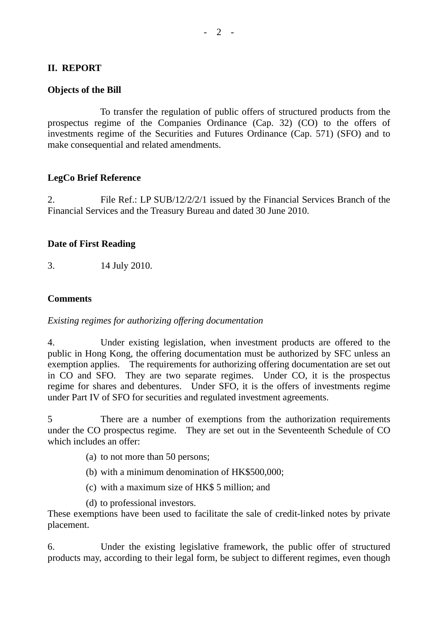### **II. REPORT**

#### **Objects of the Bill**

 To transfer the regulation of public offers of structured products from the prospectus regime of the Companies Ordinance (Cap. 32) (CO) to the offers of investments regime of the Securities and Futures Ordinance (Cap. 571) (SFO) and to make consequential and related amendments.

#### **LegCo Brief Reference**

2. File Ref.: LP SUB/12/2/2/1 issued by the Financial Services Branch of the Financial Services and the Treasury Bureau and dated 30 June 2010.

#### **Date of First Reading**

3. 14 July 2010.

#### **Comments**

#### *Existing regimes for authorizing offering documentation*

4. Under existing legislation, when investment products are offered to the public in Hong Kong, the offering documentation must be authorized by SFC unless an exemption applies. The requirements for authorizing offering documentation are set out in CO and SFO. They are two separate regimes. Under CO, it is the prospectus regime for shares and debentures. Under SFO, it is the offers of investments regime under Part IV of SFO for securities and regulated investment agreements.

5 There are a number of exemptions from the authorization requirements under the CO prospectus regime. They are set out in the Seventeenth Schedule of CO which includes an offer:

- (a) to not more than 50 persons;
- (b) with a minimum denomination of HK\$500,000;
- (c) with a maximum size of HK\$ 5 million; and

(d) to professional investors.

These exemptions have been used to facilitate the sale of credit-linked notes by private placement.

6. Under the existing legislative framework, the public offer of structured products may, according to their legal form, be subject to different regimes, even though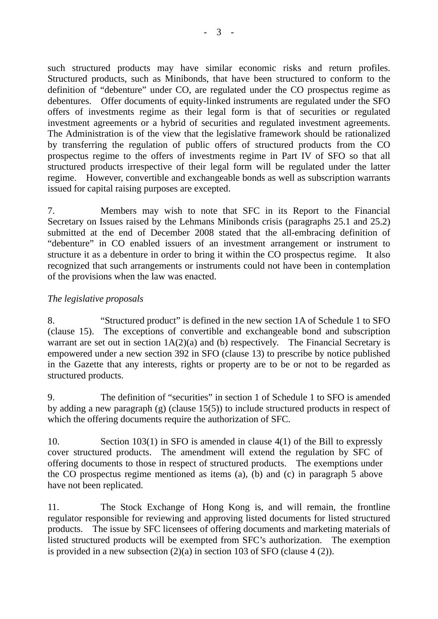such structured products may have similar economic risks and return profiles. Structured products, such as Minibonds, that have been structured to conform to the definition of "debenture" under CO, are regulated under the CO prospectus regime as debentures. Offer documents of equity-linked instruments are regulated under the SFO offers of investments regime as their legal form is that of securities or regulated investment agreements or a hybrid of securities and regulated investment agreements. The Administration is of the view that the legislative framework should be rationalized by transferring the regulation of public offers of structured products from the CO prospectus regime to the offers of investments regime in Part IV of SFO so that all structured products irrespective of their legal form will be regulated under the latter regime. However, convertible and exchangeable bonds as well as subscription warrants issued for capital raising purposes are excepted.

7. Members may wish to note that SFC in its Report to the Financial Secretary on Issues raised by the Lehmans Minibonds crisis (paragraphs 25.1 and 25.2) submitted at the end of December 2008 stated that the all-embracing definition of "debenture" in CO enabled issuers of an investment arrangement or instrument to structure it as a debenture in order to bring it within the CO prospectus regime. It also recognized that such arrangements or instruments could not have been in contemplation of the provisions when the law was enacted.

## *The legislative proposals*

8. "Structured product" is defined in the new section 1A of Schedule 1 to SFO (clause 15). The exceptions of convertible and exchangeable bond and subscription warrant are set out in section  $1A(2)(a)$  and (b) respectively. The Financial Secretary is empowered under a new section 392 in SFO (clause 13) to prescribe by notice published in the Gazette that any interests, rights or property are to be or not to be regarded as structured products.

9. The definition of "securities" in section 1 of Schedule 1 to SFO is amended by adding a new paragraph (g) (clause 15(5)) to include structured products in respect of which the offering documents require the authorization of SFC.

10. Section 103(1) in SFO is amended in clause 4(1) of the Bill to expressly cover structured products. The amendment will extend the regulation by SFC of offering documents to those in respect of structured products. The exemptions under the CO prospectus regime mentioned as items (a), (b) and (c) in paragraph 5 above have not been replicated.

11. The Stock Exchange of Hong Kong is, and will remain, the frontline regulator responsible for reviewing and approving listed documents for listed structured products. The issue by SFC licensees of offering documents and marketing materials of listed structured products will be exempted from SFC's authorization. The exemption is provided in a new subsection  $(2)(a)$  in section 103 of SFO (clause 4 (2)).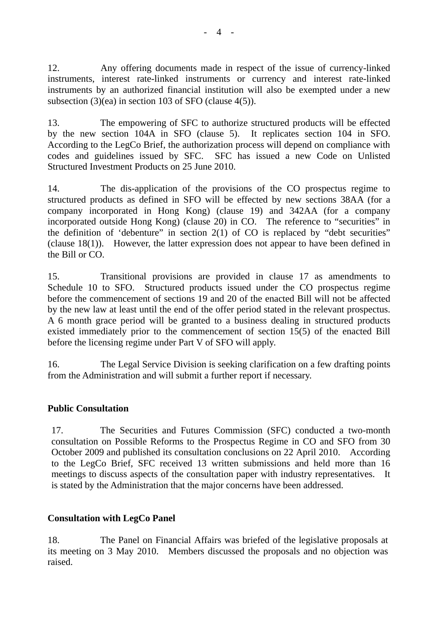12. Any offering documents made in respect of the issue of currency-linked instruments, interest rate-linked instruments or currency and interest rate-linked instruments by an authorized financial institution will also be exempted under a new subsection (3)(ea) in section 103 of SFO (clause 4(5)).

13. The empowering of SFC to authorize structured products will be effected by the new section 104A in SFO (clause 5). It replicates section 104 in SFO. According to the LegCo Brief, the authorization process will depend on compliance with codes and guidelines issued by SFC. SFC has issued a new Code on Unlisted Structured Investment Products on 25 June 2010.

14. The dis-application of the provisions of the CO prospectus regime to structured products as defined in SFO will be effected by new sections 38AA (for a company incorporated in Hong Kong) (clause 19) and 342AA (for a company incorporated outside Hong Kong) (clause 20) in CO. The reference to "securities" in the definition of 'debenture' in section  $2(1)$  of CO is replaced by "debt securities" (clause 18(1)). However, the latter expression does not appear to have been defined in the Bill or CO.

15. Transitional provisions are provided in clause 17 as amendments to Schedule 10 to SFO. Structured products issued under the CO prospectus regime before the commencement of sections 19 and 20 of the enacted Bill will not be affected by the new law at least until the end of the offer period stated in the relevant prospectus. A 6 month grace period will be granted to a business dealing in structured products existed immediately prior to the commencement of section 15(5) of the enacted Bill before the licensing regime under Part V of SFO will apply.

16. The Legal Service Division is seeking clarification on a few drafting points from the Administration and will submit a further report if necessary.

## **Public Consultation**

17. The Securities and Futures Commission (SFC) conducted a two-month consultation on Possible Reforms to the Prospectus Regime in CO and SFO from 30 October 2009 and published its consultation conclusions on 22 April 2010. According to the LegCo Brief, SFC received 13 written submissions and held more than 16 meetings to discuss aspects of the consultation paper with industry representatives. It is stated by the Administration that the major concerns have been addressed.

## **Consultation with LegCo Panel**

18. The Panel on Financial Affairs was briefed of the legislative proposals at its meeting on 3 May 2010. Members discussed the proposals and no objection was raised.